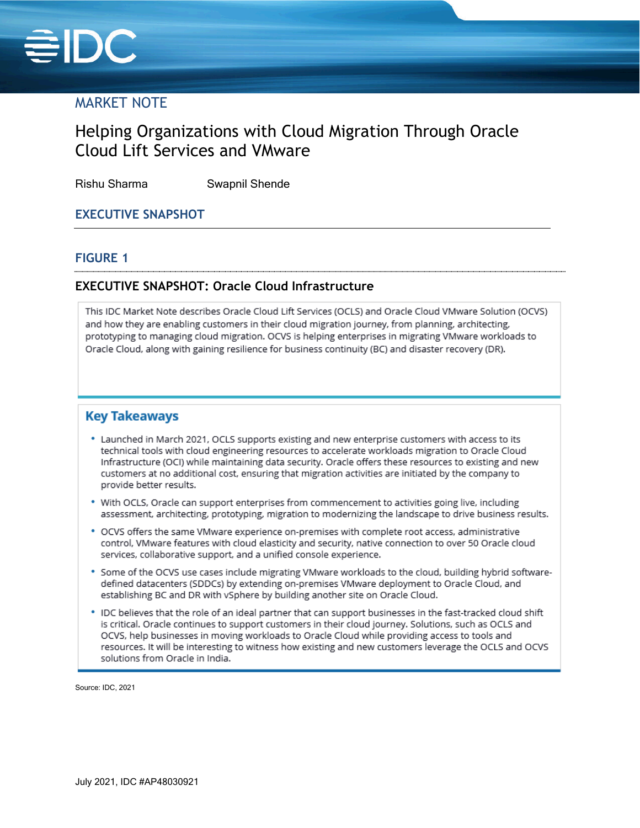

# MARKET NOTE

# Helping Organizations with Cloud Migration Through Oracle Cloud Lift Services and VMware

Rishu Sharma Swapnil Shende

# **EXECUTIVE SNAPSHOT**

#### **FIGURE 1**

### **EXECUTIVE SNAPSHOT: Oracle Cloud Infrastructure**

This IDC Market Note describes Oracle Cloud Lift Services (OCLS) and Oracle Cloud VMware Solution (OCVS) and how they are enabling customers in their cloud migration journey, from planning, architecting, prototyping to managing cloud migration. OCVS is helping enterprises in migrating VMware workloads to Oracle Cloud, along with gaining resilience for business continuity (BC) and disaster recovery (DR).

### **Key Takeaways**

- \* Launched in March 2021, OCLS supports existing and new enterprise customers with access to its technical tools with cloud engineering resources to accelerate workloads migration to Oracle Cloud Infrastructure (OCI) while maintaining data security. Oracle offers these resources to existing and new customers at no additional cost, ensuring that migration activities are initiated by the company to provide better results.
- . With OCLS, Oracle can support enterprises from commencement to activities going live, including assessment, architecting, prototyping, migration to modernizing the landscape to drive business results.
- \* OCVS offers the same VMware experience on-premises with complete root access, administrative control, VMware features with cloud elasticity and security, native connection to over 50 Oracle cloud services, collaborative support, and a unified console experience.
- \* Some of the OCVS use cases include migrating VMware workloads to the cloud, building hybrid softwaredefined datacenters (SDDCs) by extending on-premises VMware deployment to Oracle Cloud, and establishing BC and DR with vSphere by building another site on Oracle Cloud.
- \* IDC believes that the role of an ideal partner that can support businesses in the fast-tracked cloud shift is critical. Oracle continues to support customers in their cloud journey. Solutions, such as OCLS and OCVS, help businesses in moving workloads to Oracle Cloud while providing access to tools and resources. It will be interesting to witness how existing and new customers leverage the OCLS and OCVS solutions from Oracle in India.

Source: IDC, 2021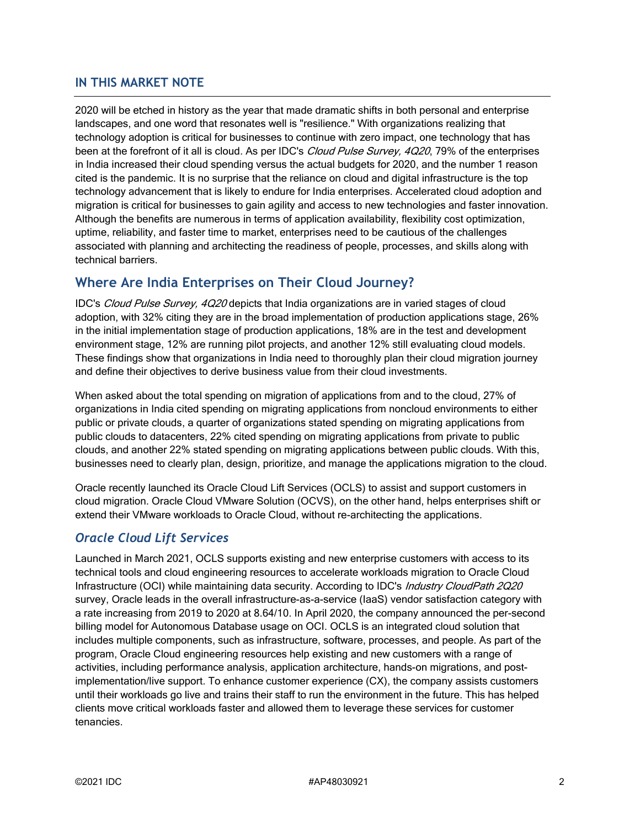# **IN THIS MARKET NOTE**

2020 will be etched in history as the year that made dramatic shifts in both personal and enterprise landscapes, and one word that resonates well is "resilience." With organizations realizing that technology adoption is critical for businesses to continue with zero impact, one technology that has been at the forefront of it all is cloud. As per IDC's *Cloud Pulse Survey, 4Q20*, 79% of the enterprises in India increased their cloud spending versus the actual budgets for 2020, and the number 1 reason cited is the pandemic. It is no surprise that the reliance on cloud and digital infrastructure is the top technology advancement that is likely to endure for India enterprises. Accelerated cloud adoption and migration is critical for businesses to gain agility and access to new technologies and faster innovation. Although the benefits are numerous in terms of application availability, flexibility cost optimization, uptime, reliability, and faster time to market, enterprises need to be cautious of the challenges associated with planning and architecting the readiness of people, processes, and skills along with technical barriers.

# **Where Are India Enterprises on Their Cloud Journey?**

IDC's Cloud Pulse Survey, 4Q20 depicts that India organizations are in varied stages of cloud adoption, with 32% citing they are in the broad implementation of production applications stage, 26% in the initial implementation stage of production applications, 18% are in the test and development environment stage, 12% are running pilot projects, and another 12% still evaluating cloud models. These findings show that organizations in India need to thoroughly plan their cloud migration journey and define their objectives to derive business value from their cloud investments.

When asked about the total spending on migration of applications from and to the cloud, 27% of organizations in India cited spending on migrating applications from noncloud environments to either public or private clouds, a quarter of organizations stated spending on migrating applications from public clouds to datacenters, 22% cited spending on migrating applications from private to public clouds, and another 22% stated spending on migrating applications between public clouds. With this, businesses need to clearly plan, design, prioritize, and manage the applications migration to the cloud.

Oracle recently launched its Oracle Cloud Lift Services (OCLS) to assist and support customers in cloud migration. Oracle Cloud VMware Solution (OCVS), on the other hand, helps enterprises shift or extend their VMware workloads to Oracle Cloud, without re-architecting the applications.

# *Oracle Cloud Lift Services*

Launched in March 2021, OCLS supports existing and new enterprise customers with access to its technical tools and cloud engineering resources to accelerate workloads migration to Oracle Cloud Infrastructure (OCI) while maintaining data security. According to IDC's Industry CloudPath 2Q20 survey, Oracle leads in the overall infrastructure-as-a-service (IaaS) vendor satisfaction category with a rate increasing from 2019 to 2020 at 8.64/10. In April 2020, the company announced the per-second billing model for Autonomous Database usage on OCI. OCLS is an integrated cloud solution that includes multiple components, such as infrastructure, software, processes, and people. As part of the program, Oracle Cloud engineering resources help existing and new customers with a range of activities, including performance analysis, application architecture, hands-on migrations, and postimplementation/live support. To enhance customer experience (CX), the company assists customers until their workloads go live and trains their staff to run the environment in the future. This has helped clients move critical workloads faster and allowed them to leverage these services for customer tenancies.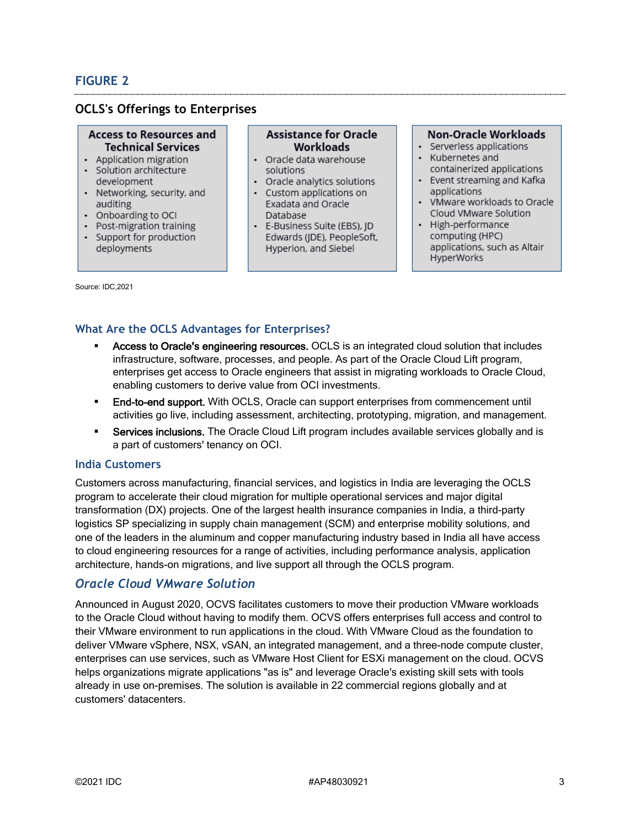# **FIGURE 2**

# **OCLS's Offerings to Enterprises**

#### **Access to Resources and Technical Services**

- Application migration · Solution architecture
- development
- Networking, security, and auditing
- Onboarding to OCI
- Post-migration training
- Support for production deployments

#### **Assistance for Oracle** Workloads

- Oracle data warehouse solutions
- Oracle analytics solutions
- Custom applications on Exadata and Oracle Database
- · E-Business Suite (EBS), JD Edwards (JDE), PeopleSoft, Hyperion, and Siebel

#### Non-Oracle Workloads

- · Serverless applications
- Kubernetes and
- containerized applications • Event streaming and Kafka applications
- VMware workloads to Oracle Cloud VMware Solution
- High-performance computing (HPC) applications, such as Altair HyperWorks

Source: IDC,2021

# **What Are the OCLS Advantages for Enterprises?**

- Access to Oracle's engineering resources. OCLS is an integrated cloud solution that includes infrastructure, software, processes, and people. As part of the Oracle Cloud Lift program, enterprises get access to Oracle engineers that assist in migrating workloads to Oracle Cloud, enabling customers to derive value from OCI investments.
- **End-to-end support.** With OCLS, Oracle can support enterprises from commencement until activities go live, including assessment, architecting, prototyping, migration, and management.
- **Services inclusions.** The Oracle Cloud Lift program includes available services globally and is a part of customers' tenancy on OCI.

#### **India Customers**

Customers across manufacturing, financial services, and logistics in India are leveraging the OCLS program to accelerate their cloud migration for multiple operational services and major digital transformation (DX) projects. One of the largest health insurance companies in India, a third-party logistics SP specializing in supply chain management (SCM) and enterprise mobility solutions, and one of the leaders in the aluminum and copper manufacturing industry based in India all have access to cloud engineering resources for a range of activities, including performance analysis, application architecture, hands-on migrations, and live support all through the OCLS program.

# *Oracle Cloud VMware Solution*

Announced in August 2020, OCVS facilitates customers to move their production VMware workloads to the Oracle Cloud without having to modify them. OCVS offers enterprises full access and control to their VMware environment to run applications in the cloud. With VMware Cloud as the foundation to deliver VMware vSphere, NSX, vSAN, an integrated management, and a three-node compute cluster, enterprises can use services, such as VMware Host Client for ESXi management on the cloud. OCVS helps organizations migrate applications "as is" and leverage Oracle's existing skill sets with tools already in use on-premises. The solution is available in 22 commercial regions globally and at customers' datacenters.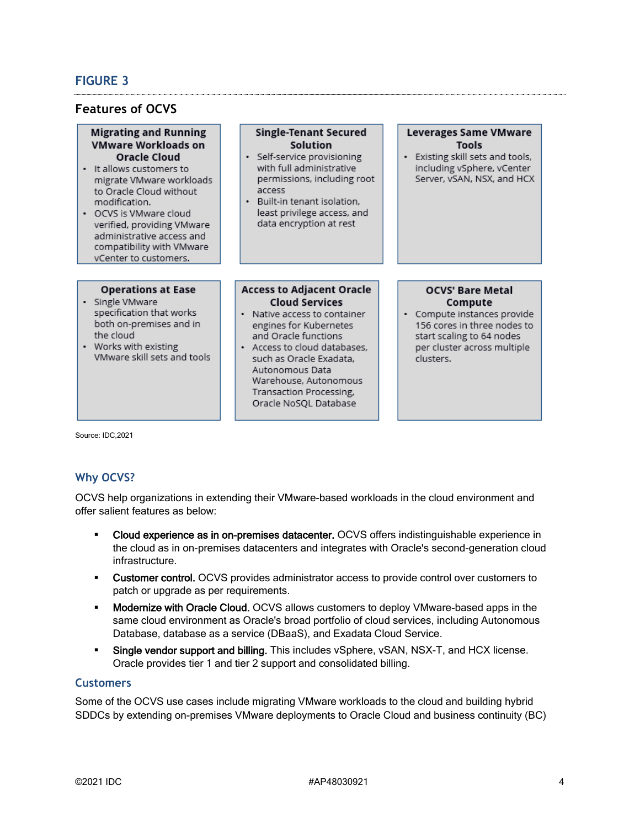# **FIGURE 3**

### **Features of OCVS**

#### **Migrating and Running VMware Workloads on Oracle Cloud**

- · It allows customers to migrate VMware workloads to Oracle Cloud without modification.
- OCVS is VMware cloud verified, providing VMware administrative access and compatibility with VMware vCenter to customers.

#### **Operations at Ease**

- · Single VMware specification that works both on-premises and in the cloud
- Works with existing VMware skill sets and tools

### **Solution** · Self-service provisioning

**Single-Tenant Secured** 

- with full administrative permissions, including root access
- · Built-in tenant isolation, least privilege access, and data encryption at rest

#### **Leverages Same VMware Tools**

· Existing skill sets and tools, including vSphere, vCenter Server, vSAN, NSX, and HCX

#### **Access to Adiacent Oracle Cloud Services**

- Native access to container engines for Kubernetes and Oracle functions
- Access to cloud databases. such as Oracle Exadata, Autonomous Data Warehouse, Autonomous Transaction Processing, Oracle NoSQL Database

#### **OCVS' Bare Metal** Compute

· Compute instances provide 156 cores in three nodes to start scaling to 64 nodes per cluster across multiple clusters.

Source: IDC,2021

### **Why OCVS?**

OCVS help organizations in extending their VMware-based workloads in the cloud environment and offer salient features as below:

- Cloud experience as in on-premises datacenter. OCVS offers indistinguishable experience in the cloud as in on-premises datacenters and integrates with Oracle's second-generation cloud infrastructure.
- **Customer control.** OCVS provides administrator access to provide control over customers to patch or upgrade as per requirements.
- Modernize with Oracle Cloud. OCVS allows customers to deploy VMware-based apps in the same cloud environment as Oracle's broad portfolio of cloud services, including Autonomous Database, database as a service (DBaaS), and Exadata Cloud Service.
- Single vendor support and billing. This includes vSphere, vSAN, NSX-T, and HCX license. Oracle provides tier 1 and tier 2 support and consolidated billing.

#### **Customers**

Some of the OCVS use cases include migrating VMware workloads to the cloud and building hybrid SDDCs by extending on-premises VMware deployments to Oracle Cloud and business continuity (BC)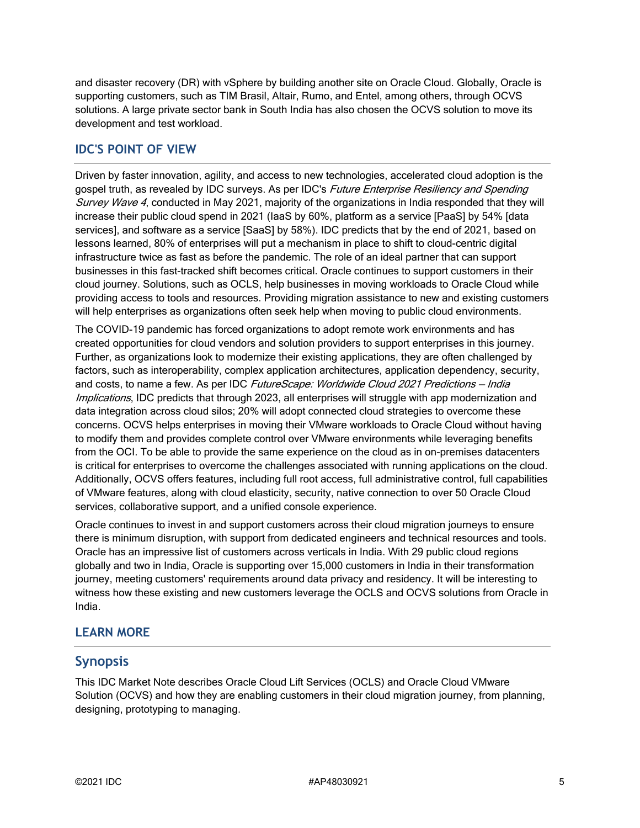and disaster recovery (DR) with vSphere by building another site on Oracle Cloud. Globally, Oracle is supporting customers, such as TIM Brasil, Altair, Rumo, and Entel, among others, through OCVS solutions. A large private sector bank in South India has also chosen the OCVS solution to move its development and test workload.

# **IDC'S POINT OF VIEW**

Driven by faster innovation, agility, and access to new technologies, accelerated cloud adoption is the gospel truth, as revealed by IDC surveys. As per IDC's Future Enterprise Resiliency and Spending Survey Wave 4, conducted in May 2021, majority of the organizations in India responded that they will increase their public cloud spend in 2021 (IaaS by 60%, platform as a service [PaaS] by 54% [data services], and software as a service [SaaS] by 58%). IDC predicts that by the end of 2021, based on lessons learned, 80% of enterprises will put a mechanism in place to shift to cloud-centric digital infrastructure twice as fast as before the pandemic. The role of an ideal partner that can support businesses in this fast-tracked shift becomes critical. Oracle continues to support customers in their cloud journey. Solutions, such as OCLS, help businesses in moving workloads to Oracle Cloud while providing access to tools and resources. Providing migration assistance to new and existing customers will help enterprises as organizations often seek help when moving to public cloud environments.

The COVID-19 pandemic has forced organizations to adopt remote work environments and has created opportunities for cloud vendors and solution providers to support enterprises in this journey. Further, as organizations look to modernize their existing applications, they are often challenged by factors, such as interoperability, complex application architectures, application dependency, security, and costs, to name a few. As per IDC FutureScape: Worldwide Cloud 2021 Predictions - India Implications, IDC predicts that through 2023, all enterprises will struggle with app modernization and data integration across cloud silos; 20% will adopt connected cloud strategies to overcome these concerns. OCVS helps enterprises in moving their VMware workloads to Oracle Cloud without having to modify them and provides complete control over VMware environments while leveraging benefits from the OCI. To be able to provide the same experience on the cloud as in on-premises datacenters is critical for enterprises to overcome the challenges associated with running applications on the cloud. Additionally, OCVS offers features, including full root access, full administrative control, full capabilities of VMware features, along with cloud elasticity, security, native connection to over 50 Oracle Cloud services, collaborative support, and a unified console experience.

Oracle continues to invest in and support customers across their cloud migration journeys to ensure there is minimum disruption, with support from dedicated engineers and technical resources and tools. Oracle has an impressive list of customers across verticals in India. With 29 public cloud regions globally and two in India, Oracle is supporting over 15,000 customers in India in their transformation journey, meeting customers' requirements around data privacy and residency. It will be interesting to witness how these existing and new customers leverage the OCLS and OCVS solutions from Oracle in India.

### **LEARN MORE**

### **Synopsis**

This IDC Market Note describes Oracle Cloud Lift Services (OCLS) and Oracle Cloud VMware Solution (OCVS) and how they are enabling customers in their cloud migration journey, from planning, designing, prototyping to managing.